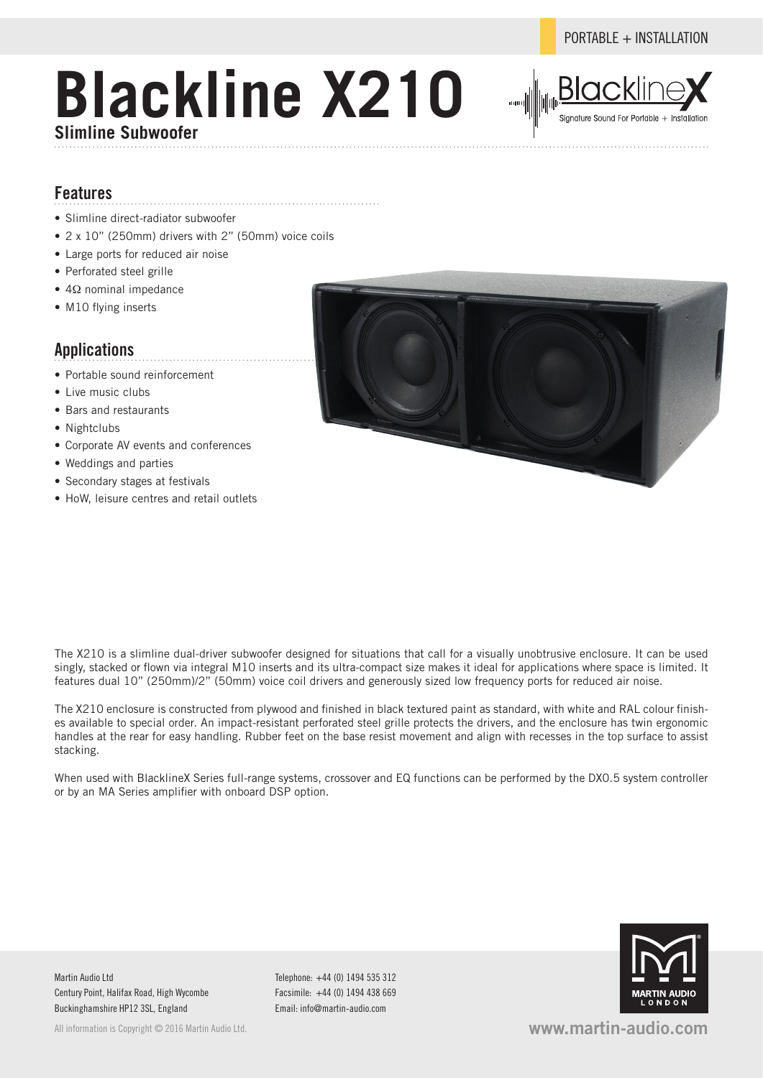# **Blackline X210 Slimline Subwoofer**



#### **Features**

- Slimline direct-radiator subwoofer
- 2 x 10" (250mm) drivers with 2" (50mm) voice coils
- Large ports for reduced air noise
- Perforated steel grille
- 4Ω nominal impedance
- M10 flying inserts

### **Applications**

- Portable sound reinforcement
- Live music clubs
- Bars and restaurants
- Nightclubs
- Corporate AV events and conferences
- Weddings and parties
- Secondary stages at festivals
- HoW, leisure centres and retail outlets



The X210 enclosure is constructed from plywood and finished in black textured paint as standard, with white and RAL colour finishes available to special order. An impact-resistant perforated steel grille protects the drivers, and the enclosure has twin ergonomic handles at the rear for easy handling. Rubber feet on the base resist movement and align with recesses in the top surface to assist stacking.

When used with BlacklineX Series full-range systems, crossover and EQ functions can be performed by the DX0.5 system controller or by an MA Series amplifier with onboard DSP option.

Martin Audio Ltd Century Point, Halifax Road, High Wycombe Buckinghamshire HP12 3SL, England

All information is Copyright © 2016 Martin Audio Ltd.

Telephone: +44 (0) 1494 535 312 Facsimile: +44 (0) 1494 438 669 Email: info@martin-audio.com



**www.martin-audio.com**